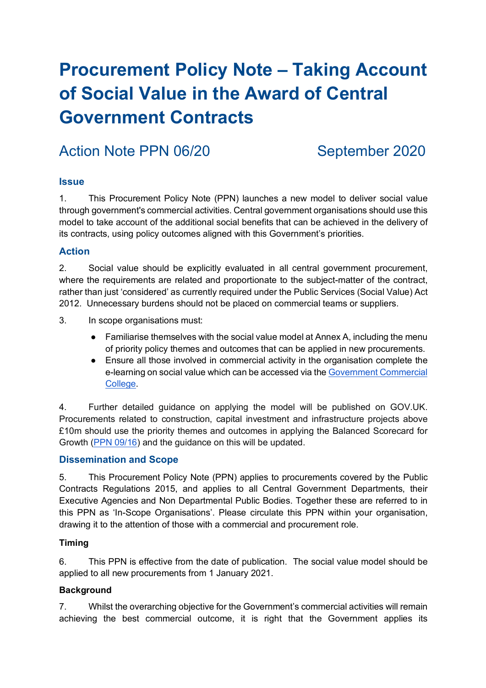# **Procurement Policy Note – Taking Account of Social Value in the Award of Central Government Contracts**

## Action Note PPN 06/20 September 2020

#### **Issue**

1. This Procurement Policy Note (PPN) launches a new model to deliver social value through government's commercial activities. Central government organisations should use this model to take account of the additional social benefits that can be achieved in the delivery of its contracts, using policy outcomes aligned with this Government's priorities.

### **Action**

2. Social value should be explicitly evaluated in all central government procurement, where the requirements are related and proportionate to the subject-matter of the contract, rather than just 'considered' as currently required under the Public Services (Social Value) Act 2012. Unnecessary burdens should not be placed on commercial teams or suppliers.

- 3. In scope organisations must:
	- Familiarise themselves with the social value model at Annex A, including the menu of priority policy themes and outcomes that can be applied in new procurements.
	- Ensure all those involved in commercial activity in the organisation complete the e-learning on social value which can be accessed via the Government Commercial College.

4. Further detailed guidance on applying the model will be published on GOV.UK. Procurements related to construction, capital investment and infrastructure projects above £10m should use the priority themes and outcomes in applying the Balanced Scorecard for Growth (PPN 09/16) and the guidance on this will be updated.

#### **Dissemination and Scope**

5. This Procurement Policy Note (PPN) applies to procurements covered by the Public Contracts Regulations 2015, and applies to all Central Government Departments, their Executive Agencies and Non Departmental Public Bodies. Together these are referred to in this PPN as 'In-Scope Organisations'. Please circulate this PPN within your organisation, drawing it to the attention of those with a commercial and procurement role.

#### **Timing**

6. This PPN is effective from the date of publication. The social value model should be applied to all new procurements from 1 January 2021.

#### **Background**

7. Whilst the overarching objective for the Government's commercial activities will remain achieving the best commercial outcome, it is right that the Government applies its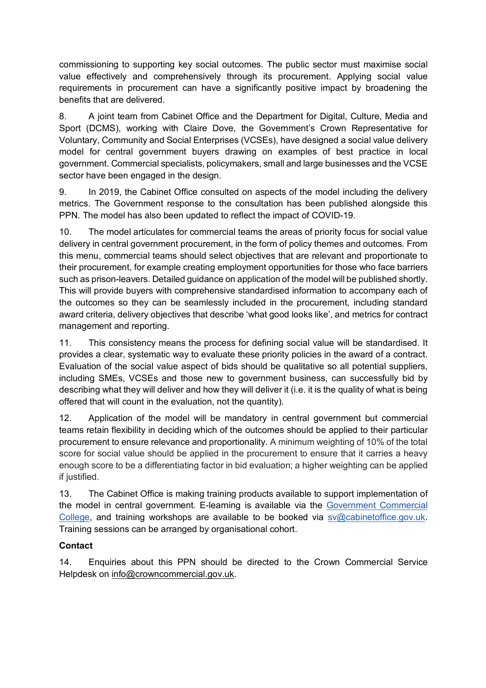commissioning to supporting key social outcomes. The public sector must maximise social value effectively and comprehensively through its procurement. Applying social value requirements in procurement can have a significantly positive impact by broadening the benefits that are delivered.

8. A joint team from Cabinet Office and the Department for Digital, Culture, Media and Sport (DCMS), working with Claire Dove, the Government's Crown Representative for Voluntary, Community and Social Enterprises (VCSEs), have designed a social value delivery model for central government buyers drawing on examples of best practice in local government. Commercial specialists, policymakers, small and large businesses and the VCSE sector have been engaged in the design.

9. In 2019, the Cabinet Office consulted on aspects of the model including the delivery metrics. The Government response to the consultation has been published alongside this PPN. The model has also been updated to reflect the impact of COVID-19.

10. The model articulates for commercial teams the areas of priority focus for social value delivery in central government procurement, in the form of policy themes and outcomes. From this menu, commercial teams should select objectives that are relevant and proportionate to their procurement, for example creating employment opportunities for those who face barriers such as prison-leavers. Detailed guidance on application of the model will be published shortly. This will provide buyers with comprehensive standardised information to accompany each of the outcomes so they can be seamlessly included in the procurement, including standard award criteria, delivery objectives that describe 'what good looks like', and metrics for contract management and reporting.

11. This consistency means the process for defining social value will be standardised. It provides a clear, systematic way to evaluate these priority policies in the award of a contract. Evaluation of the social value aspect of bids should be qualitative so all potential suppliers, including SMEs, VCSEs and those new to government business, can successfully bid by describing what they will deliver and how they will deliver it (i.e. it is the quality of what is being offered that will count in the evaluation, not the quantity).

12. Application of the model will be mandatory in central government but commercial teams retain flexibility in deciding which of the outcomes should be applied to their particular procurement to ensure relevance and proportionality. A minimum weighting of 10% of the total score for social value should be applied in the procurement to ensure that it carries a heavy enough score to be a differentiating factor in bid evaluation; a higher weighting can be applied if justified.

13. The Cabinet Office is making training products available to support implementation of the model in central government. E-learning is available via the Government Commercial College, and training workshops are available to be booked via sv@cabinetoffice.gov.uk. Training sessions can be arranged by organisational cohort.

#### **Contact**

14. Enquiries about this PPN should be directed to the Crown Commercial Service Helpdesk on info@crowncommercial.gov.uk.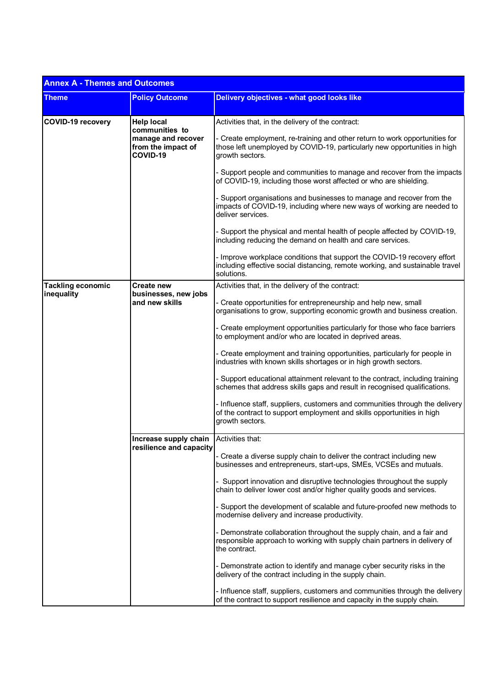| <b>Annex A - Themes and Outcomes</b> |                                                                                             |                                                                                                                                                                             |  |
|--------------------------------------|---------------------------------------------------------------------------------------------|-----------------------------------------------------------------------------------------------------------------------------------------------------------------------------|--|
| <b>Theme</b>                         | <b>Policy Outcome</b>                                                                       | <b>Delivery objectives - what good looks like</b>                                                                                                                           |  |
| <b>COVID-19 recovery</b>             | <b>Help local</b><br>communities to<br>manage and recover<br>from the impact of<br>COVID-19 | Activities that, in the delivery of the contract:                                                                                                                           |  |
|                                      |                                                                                             | - Create employment, re-training and other return to work opportunities for<br>those left unemployed by COVID-19, particularly new opportunities in high<br>growth sectors. |  |
|                                      |                                                                                             | Support people and communities to manage and recover from the impacts<br>of COVID-19, including those worst affected or who are shielding.                                  |  |
|                                      |                                                                                             | - Support organisations and businesses to manage and recover from the<br>impacts of COVID-19, including where new ways of working are needed to<br>deliver services.        |  |
|                                      |                                                                                             | - Support the physical and mental health of people affected by COVID-19,<br>including reducing the demand on health and care services.                                      |  |
|                                      |                                                                                             | - Improve workplace conditions that support the COVID-19 recovery effort<br>including effective social distancing, remote working, and sustainable travel<br>solutions.     |  |
| <b>Tackling economic</b>             | Create new<br>businesses, new jobs<br>and new skills                                        | Activities that, in the delivery of the contract:                                                                                                                           |  |
| inequality                           |                                                                                             | - Create opportunities for entrepreneurship and help new, small<br>organisations to grow, supporting economic growth and business creation.                                 |  |
|                                      |                                                                                             | - Create employment opportunities particularly for those who face barriers<br>to employment and/or who are located in deprived areas.                                       |  |
|                                      |                                                                                             | - Create employment and training opportunities, particularly for people in<br>industries with known skills shortages or in high growth sectors.                             |  |
|                                      |                                                                                             | - Support educational attainment relevant to the contract, including training<br>schemes that address skills gaps and result in recognised qualifications.                  |  |
|                                      |                                                                                             | - Influence staff, suppliers, customers and communities through the delivery<br>of the contract to support employment and skills opportunities in high<br>growth sectors.   |  |
|                                      | Increase supply chain Activities that:<br>resilience and capacity                           |                                                                                                                                                                             |  |
|                                      |                                                                                             | - Create a diverse supply chain to deliver the contract including new<br>businesses and entrepreneurs, start-ups, SMEs, VCSEs and mutuals.                                  |  |
|                                      |                                                                                             | Support innovation and disruptive technologies throughout the supply<br>chain to deliver lower cost and/or higher quality goods and services.                               |  |
|                                      |                                                                                             | - Support the development of scalable and future-proofed new methods to<br>modernise delivery and increase productivity.                                                    |  |
|                                      |                                                                                             | - Demonstrate collaboration throughout the supply chain, and a fair and<br>responsible approach to working with supply chain partners in delivery of<br>the contract.       |  |
|                                      |                                                                                             | - Demonstrate action to identify and manage cyber security risks in the<br>delivery of the contract including in the supply chain.                                          |  |
|                                      |                                                                                             | - Influence staff, suppliers, customers and communities through the delivery<br>of the contract to support resilience and capacity in the supply chain.                     |  |